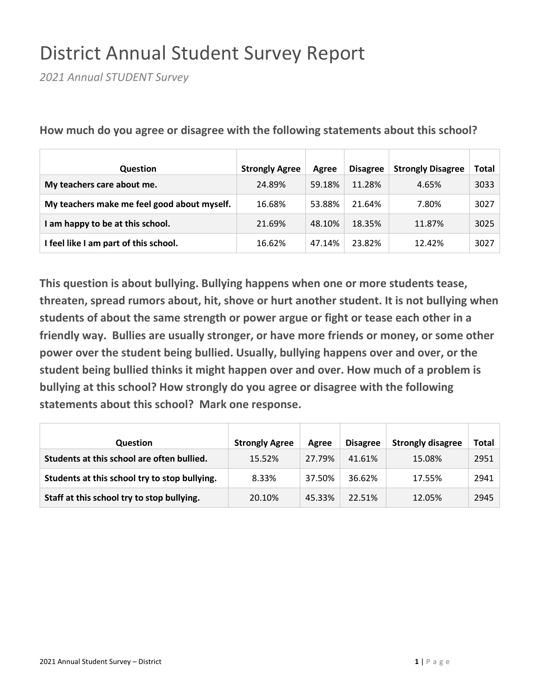## District Annual Student Survey Report

*2021 Annual STUDENT Survey*

| Question                                    | <b>Strongly Agree</b> | Agree  | <b>Disagree</b> | <b>Strongly Disagree</b> | Total |
|---------------------------------------------|-----------------------|--------|-----------------|--------------------------|-------|
| My teachers care about me.                  | 24.89%                | 59.18% | 11.28%          | 4.65%                    | 3033  |
| My teachers make me feel good about myself. | 16.68%                | 53.88% | 21.64%          | 7.80%                    | 3027  |
| I am happy to be at this school.            | 21.69%                | 48.10% | 18.35%          | 11.87%                   | 3025  |
| I feel like I am part of this school.       | 16.62%                | 47.14% | 23.82%          | 12.42%                   | 3027  |

**How much do you agree or disagree with the following statements about this school?**

**This question is about bullying. Bullying happens when one or more students tease, threaten, spread rumors about, hit, shove or hurt another student. It is not bullying when students of about the same strength or power argue or fight or tease each other in a friendly way. Bullies are usually stronger, or have more friends or money, or some other power over the student being bullied. Usually, bullying happens over and over, or the student being bullied thinks it might happen over and over. How much of a problem is bullying at this school? How strongly do you agree or disagree with the following statements about this school? Mark one response.**

| <b>Question</b>                               | <b>Strongly Agree</b> | Agree  | <b>Disagree</b> | <b>Strongly disagree</b> | Total |
|-----------------------------------------------|-----------------------|--------|-----------------|--------------------------|-------|
| Students at this school are often bullied.    | 15.52%                | 27.79% | 41.61%          | 15.08%                   | 2951  |
| Students at this school try to stop bullying. | 8.33%                 | 37.50% | 36.62%          | 17.55%                   | 2941  |
| Staff at this school try to stop bullying.    | 20.10%                | 45.33% | 22.51%          | 12.05%                   | 2945  |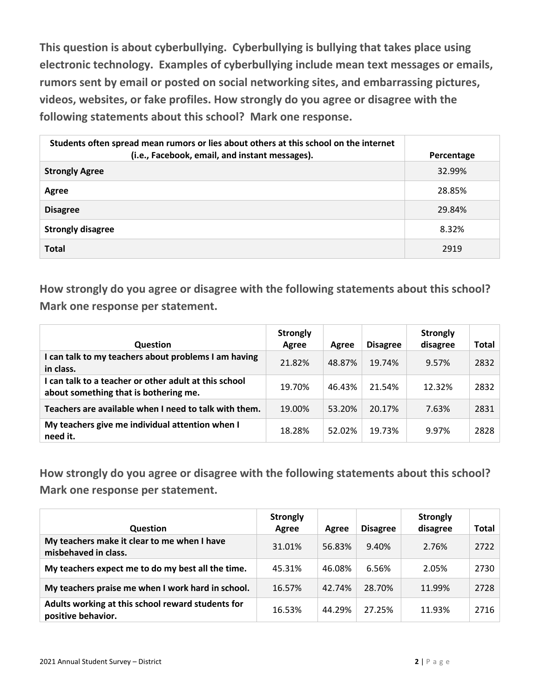**This question is about cyberbullying. Cyberbullying is bullying that takes place using electronic technology. Examples of cyberbullying include mean text messages or emails, rumors sent by email or posted on social networking sites, and embarrassing pictures, videos, websites, or fake profiles. How strongly do you agree or disagree with the following statements about this school? Mark one response.**

| Students often spread mean rumors or lies about others at this school on the internet<br>(i.e., Facebook, email, and instant messages). | Percentage |
|-----------------------------------------------------------------------------------------------------------------------------------------|------------|
| <b>Strongly Agree</b>                                                                                                                   | 32.99%     |
| Agree                                                                                                                                   | 28.85%     |
| <b>Disagree</b>                                                                                                                         | 29.84%     |
| <b>Strongly disagree</b>                                                                                                                | 8.32%      |
| <b>Total</b>                                                                                                                            | 2919       |

**How strongly do you agree or disagree with the following statements about this school? Mark one response per statement.**

| <b>Question</b>                                                                                | <b>Strongly</b><br>Agree | Agree  | <b>Disagree</b> | <b>Strongly</b><br>disagree | Total |
|------------------------------------------------------------------------------------------------|--------------------------|--------|-----------------|-----------------------------|-------|
| I can talk to my teachers about problems I am having<br>in class.                              | 21.82%                   | 48.87% | 19.74%          | 9.57%                       | 2832  |
| I can talk to a teacher or other adult at this school<br>about something that is bothering me. | 19.70%                   | 46.43% | 21.54%          | 12.32%                      | 2832  |
| Teachers are available when I need to talk with them.                                          | 19.00%                   | 53.20% | 20.17%          | 7.63%                       | 2831  |
| My teachers give me individual attention when I<br>need it.                                    | 18.28%                   | 52.02% | 19.73%          | 9.97%                       | 2828  |

**How strongly do you agree or disagree with the following statements about this school? Mark one response per statement.**

| <b>Question</b>                                                         | <b>Strongly</b><br>Agree | Agree  | <b>Disagree</b> | <b>Strongly</b><br>disagree | <b>Total</b> |
|-------------------------------------------------------------------------|--------------------------|--------|-----------------|-----------------------------|--------------|
| My teachers make it clear to me when I have<br>misbehaved in class.     | 31.01%                   | 56.83% | 9.40%           | 2.76%                       | 2722         |
| My teachers expect me to do my best all the time.                       | 45.31%                   | 46.08% | 6.56%           | 2.05%                       | 2730         |
| My teachers praise me when I work hard in school.                       | 16.57%                   | 42.74% | 28.70%          | 11.99%                      | 2728         |
| Adults working at this school reward students for<br>positive behavior. | 16.53%                   | 44.29% | 27.25%          | 11.93%                      | 2716         |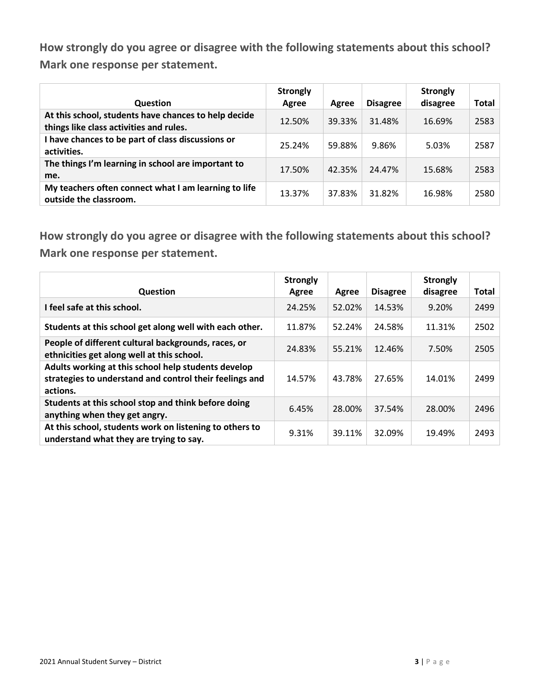**How strongly do you agree or disagree with the following statements about this school? Mark one response per statement.**

| <b>Question</b>                                                                                 | <b>Strongly</b><br>Agree | Agree  | <b>Disagree</b> | <b>Strongly</b><br>disagree | Total |
|-------------------------------------------------------------------------------------------------|--------------------------|--------|-----------------|-----------------------------|-------|
| At this school, students have chances to help decide<br>things like class activities and rules. | 12.50%                   | 39.33% | 31.48%          | 16.69%                      | 2583  |
| I have chances to be part of class discussions or<br>activities.                                | 25.24%                   | 59.88% | 9.86%           | 5.03%                       | 2587  |
| The things I'm learning in school are important to<br>me.                                       | 17.50%                   | 42.35% | 24.47%          | 15.68%                      | 2583  |
| My teachers often connect what I am learning to life<br>outside the classroom.                  | 13.37%                   | 37.83% | 31.82%          | 16.98%                      | 2580  |

**How strongly do you agree or disagree with the following statements about this school? Mark one response per statement.**

| <b>Question</b>                                                                                                            | <b>Strongly</b><br>Agree | Agree  | <b>Disagree</b> | <b>Strongly</b><br>disagree | <b>Total</b> |
|----------------------------------------------------------------------------------------------------------------------------|--------------------------|--------|-----------------|-----------------------------|--------------|
| I feel safe at this school.                                                                                                | 24.25%                   | 52.02% | 14.53%          | 9.20%                       | 2499         |
| Students at this school get along well with each other.                                                                    | 11.87%                   | 52.24% | 24.58%          | 11.31%                      | 2502         |
| People of different cultural backgrounds, races, or<br>ethnicities get along well at this school.                          | 24.83%                   | 55.21% | 12.46%          | 7.50%                       | 2505         |
| Adults working at this school help students develop<br>strategies to understand and control their feelings and<br>actions. | 14.57%                   | 43.78% | 27.65%          | 14.01%                      | 2499         |
| Students at this school stop and think before doing<br>anything when they get angry.                                       | 6.45%                    | 28.00% | 37.54%          | 28.00%                      | 2496         |
| At this school, students work on listening to others to<br>understand what they are trying to say.                         | 9.31%                    | 39.11% | 32.09%          | 19.49%                      | 2493         |